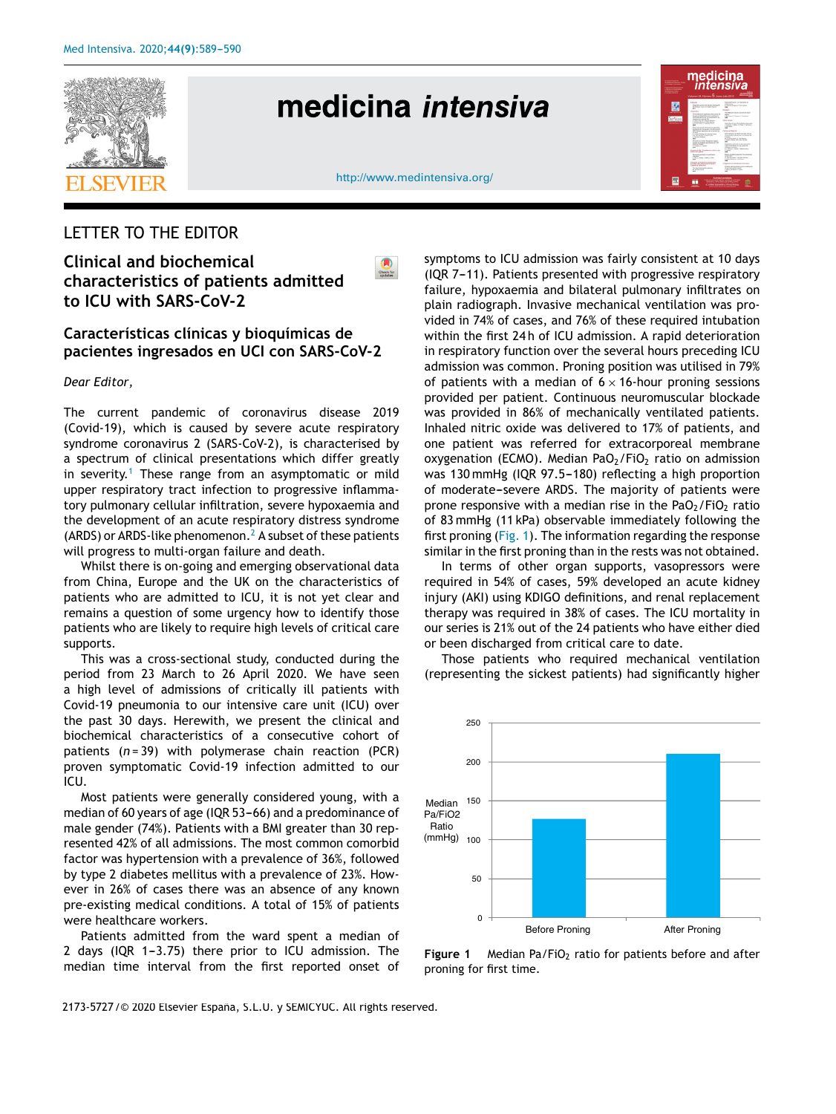

# medicina intensiva

| <b>Southern Protection</b><br>in Broking Islandin, Other<br>y character frammers.<br><b>Fatherman Personal Fund</b><br>a Sansa de Sindestere<br>in Broking Listen<br><b><i>L'Imperatorista</i></b> | medicina<br><i>intensiva</i><br>Volumen 34, Número $5$ , Junio-Julio 2010                                                                                                                                                                                                                                                                                                                                                                                                                                                                                                                                                                                                                                                                                                                                                                                                                                                                                                                                                                                                                                                        |                                                                                                                                                                                                                                                                                                                                                                                                                                                                                                                                                                                                                                                                                                                                                                                                                                                                                                                                                                                                                                  |
|----------------------------------------------------------------------------------------------------------------------------------------------------------------------------------------------------|----------------------------------------------------------------------------------------------------------------------------------------------------------------------------------------------------------------------------------------------------------------------------------------------------------------------------------------------------------------------------------------------------------------------------------------------------------------------------------------------------------------------------------------------------------------------------------------------------------------------------------------------------------------------------------------------------------------------------------------------------------------------------------------------------------------------------------------------------------------------------------------------------------------------------------------------------------------------------------------------------------------------------------------------------------------------------------------------------------------------------------|----------------------------------------------------------------------------------------------------------------------------------------------------------------------------------------------------------------------------------------------------------------------------------------------------------------------------------------------------------------------------------------------------------------------------------------------------------------------------------------------------------------------------------------------------------------------------------------------------------------------------------------------------------------------------------------------------------------------------------------------------------------------------------------------------------------------------------------------------------------------------------------------------------------------------------------------------------------------------------------------------------------------------------|
|                                                                                                                                                                                                    | <b><i><u>AMA</u></i></b><br>and service and the control of<br>beginning prend define and rend again.<br>A Rubijate i dra u 4. Super-Figures<br>$\sim$<br>Determine 1<br>functioning acceptance offices who be<br>produced dealership new is actioned<br>in thick gummin a 4 scientists do<br>continued as well as the<br>A habe him \$1. Brown-booker<br>I dealers from it that the fact<br>A newly black of classical become<br>m<br>financia autuas aprintos anualizarea<br>A PARTIE & PASSAGE LE GEOVANY<br>FOR FALSI BASIN'S BLV HENS BY<br><b>SOME</b><br>A Great Pictures, M. Sakriye Grade<br>OF FALKING A RIGHTONY<br>A Ammy Adriano<br>×<br><b>Subscript Delay Sections Andre</b><br><b>Scott Commerce &amp; Glossy Scott</b><br>particular distances<br>A Excellent Chrysler<br>14<br>Published all the Riverbands and colors over<br><b>March 21 of Street</b><br>To child a point in a collaction<br><b>CARDON</b><br>1. One 1. Localis, J. Baltic a.V. Tellor<br>m<br>before an Markins bracket of<br><b>CORPORATION CONTINUES INTO A CONTINUES.</b><br>The description and the pro-<br>a banka finnis<br><b>SH</b> | becomes selected at the bank of<br><b><i><u>ABANDA</u></i></b><br>2. Patricia Margale y P. Box Canada<br>m<br>Service<br>Sending in Auto change of their<br>sens.<br>1.8 Kings P Report L Rental<br>≖<br><b>Scientists</b><br>Namburin or Browning detector<br>a Linguista, A. Margo, L.A. Plata, P. Carminican<br>Education in the control of<br>w<br><b>Contact and Streets</b><br>Advertising acceptance contact<br>to when they all expected a re-indexed de-<br>$\overline{1}$<br><b>Will delivery lives and that the factory</b><br>Christian Modern A. Lakes Scotting<br>$\sim$<br><b>Business before a crews departured</b><br>and the fields in the claim in<br>Grace Expose<br>A Children's Paris 1. Martin Will<br>1000<br>$\overline{a}$<br>Kyrn ending green he alreads.<br><b>STATISTICS</b><br>A domestic forms of the American co-<br>Columburg Lisb No.<br>$\sim$<br>Industries an Marking Interview<br>British allocated as color employees<br>decays also winted tool at<br>Lifera M. Bellett Lewis<br>$\sim$ |
| <b>The State of Contract Contract</b>                                                                                                                                                              |                                                                                                                                                                                                                                                                                                                                                                                                                                                                                                                                                                                                                                                                                                                                                                                                                                                                                                                                                                                                                                                                                                                                  | <b>Arthursed Arthursey</b><br>In this is a distribution of guide complete and to discovered<br><b>Committee School Committee Committee</b><br><b>17 modern and oberto a 18 hours in firm</b><br><b>Production and Constitutions</b>                                                                                                                                                                                                                                                                                                                                                                                                                                                                                                                                                                                                                                                                                                                                                                                              |

http://www.medintensiva.org/

 $\begin{array}{c}\n\bullet \\
\bullet \\
\bullet \\
\bullet\n\end{array}$ 

## LETTER TO THE EDITOR

**Clinical and biochemical characteristics of patients admitted to ICU with SARS-CoV-2**

## **Características clínicas y bioquímicas de pacientes ingresados en UCI con SARS-CoV-2**

*Dear Editor,*

The current pandemic of coronavirus disease 2019 (Covid-19), which is caused by severe acute respiratory syndrome coronavirus 2 (SARS-CoV-2), is characterised by a spectrum of clinical presentations which differ greatly in severity.<sup>1</sup> These range from an asymptomatic or mild upper respiratory tract infection to progressive inflammatory pulmonary cellular infiltration, severe hypoxaemia and the development of an acute respiratory distress syndrome (ARDS) or ARDS-like phenomenon.<sup>2</sup> A subset of these patients will progress to multi-organ failure and death.

Whilst there is on-going and emerging observational data from China, Europe and the UK on the characteristics of patients who are admitted to ICU, it is not yet clear and remains a question of some urgency how to identify those patients who are likely to require high levels of critical care supports.

This was a cross-sectional study, conducted during the period from 23 March to 26 April 2020. We have seen a high level of admissions of critically ill patients with Covid-19 pneumonia to our intensive care unit (ICU) over the past 30 days. Herewith, we present the clinical and biochemical characteristics of a consecutive cohort of patients (*n* = 39) with polymerase chain reaction (PCR) proven symptomatic Covid-19 infection admitted to our ICU.

Most patients were generally considered young, with a median of 60 years of age (IQR 53-66) and a predominance of male gender (74%). Patients with a BMI greater than 30 represented 42% of all admissions. The most common comorbid factor was hypertension with a prevalence of 36%, followed by type 2 diabetes mellitus with a prevalence of 23%. However in 26% of cases there was an absence of any known pre-existing medical conditions. A total of 15% of patients were healthcare workers.

Patients admitted from the ward spent a median of 2 days (IQR 1-3.75) there prior to ICU admission. The median time interval from the first reported onset of

symptoms to ICU admission was fairly consistent at 10 days  $( IQR 7-11).$  Patients presented with progressive respiratory failure, hypoxaemia and bilateral pulmonary infiltrates on plain radiograph. Invasive mechanical ventilation was provided in 74% of cases, and 76% of these required intubation within the first 24 h of ICU admission. A rapid deterioration in respiratory function over the several hours preceding ICU admission was common. Proning position was utilised in 79% of patients with a median of  $6 \times 16$ -hour proning sessions provided per patient. Continuous neuromuscular blockade was provided in 86% of mechanically ventilated patients. Inhaled nitric oxide was delivered to 17% of patients, and one patient was referred for extracorporeal membrane oxygenation (ECMO). Median PaO $_2$ /FiO<sub>2</sub> ratio on admission was 130 mmHg (IQR 97.5-180) reflecting a high proportion of moderate-severe ARDS. The majority of patients were prone responsive with a median rise in the PaO $_2$ /FiO<sub>2</sub> ratio of 83 mmHg (11 kPa) observable immediately following the first proning (Fig. 1). The information regarding the response similar in the first proning than in the rests was not obtained.

In terms of other organ supports, vasopressors were required in 54% of cases, 59% developed an acute kidney injury (AKI) using KDIGO definitions, and renal replacement therapy was required in 38% of cases. The ICU mortality in our series is 21% out of the 24 patients who have either died or been discharged from critical care to date.

Those patients who required mechanical ventilation (representing the sickest patients) had significantly higher



Figure 1 Median Pa/FiO<sub>2</sub> ratio for patients before and after proning for first time.

2173-5727 / © 2020 Elsevier España, S.L.U. y SEMICYUC. All rights reserved.